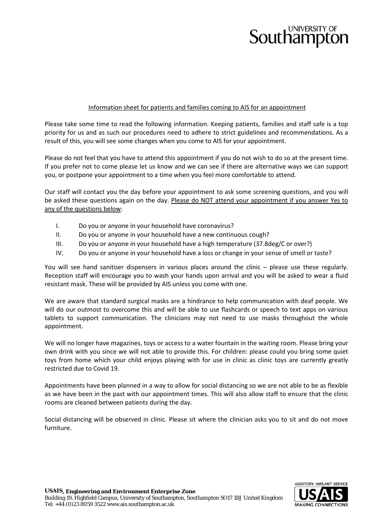## **Southampton**

## Information sheet for patients and families coming to AIS for an appointment

Please take some time to read the following information. Keeping patients, families and staff safe is a top priority for us and as such our procedures need to adhere to strict guidelines and recommendations. As a result of this, you will see some changes when you come to AIS for your appointment.

Please do not feel that you have to attend this appointment if you do not wish to do so at the present time. If you prefer not to come please let us know and we can see if there are alternative ways we can support you, or postpone your appointment to a time when you feel more comfortable to attend.

Our staff will contact you the day before your appointment to ask some screening questions, and you will be asked these questions again on the day. Please do NOT attend your appointment if you answer Yes to any of the questions below:

- I. Do you or anyone in your household have coronavirus?
- II. Do you or anyone in your household have a new continuous cough?
- III. Do you or anyone in your household have a high temperature (37.8deg/C or over?)
- IV. Do you or anyone in your household have a loss or change in your sense of smell or taste?

You will see hand sanitiser dispensers in various places around the clinic – please use these regularly. Reception staff will encourage you to wash your hands upon arrival and you will be asked to wear a fluid resistant mask. These will be provided by AIS unless you come with one.

We are aware that standard surgical masks are a hindrance to help communication with deaf people. We will do our outmost to overcome this and will be able to use flashcards or speech to text apps on various tablets to support communication. The clinicians may not need to use masks throughout the whole appointment.

We will no longer have magazines, toys or access to a water fountain in the waiting room. Please bring your own drink with you since we will not able to provide this. For children: please could you bring some quiet toys from home which your child enjoys playing with for use in clinic as clinic toys are currently greatly restricted due to Covid 19.

Appointments have been planned in a way to allow for social distancing so we are not able to be as flexible as we have been in the past with our appointment times. This will also allow staff to ensure that the clinic rooms are cleaned between patients during the day.

Social distancing will be observed in clinic. Please sit where the clinician asks you to sit and do not move furniture.